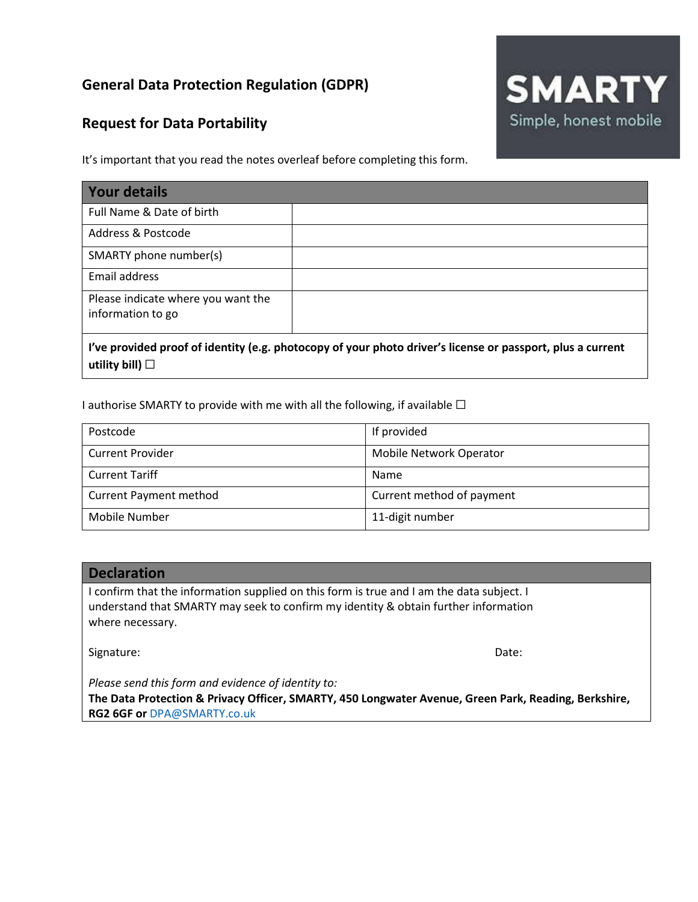# **General Data Protection Regulation (GDPR)**

# **Request for Data Portability**



It's important that you read the notes overleaf before completing this form.

| Your details                                                                                                  |  |
|---------------------------------------------------------------------------------------------------------------|--|
| Full Name & Date of birth                                                                                     |  |
| Address & Postcode                                                                                            |  |
| SMARTY phone number(s)                                                                                        |  |
| Email address                                                                                                 |  |
| Please indicate where you want the<br>information to go                                                       |  |
| $l'$ uo provided preof of identity (e.g. photocony of your photo driver's license or passport, plus a surrent |  |

**I've provided proof of identity (e.g. photocopy of your photo driver's license or passport, plus a current utility bill)** ☐

I authorise SMARTY to provide with me with all the following, if available  $\Box$ 

| Postcode                      | If provided               |
|-------------------------------|---------------------------|
| <b>Current Provider</b>       | Mobile Network Operator   |
| <b>Current Tariff</b>         | Name                      |
| <b>Current Payment method</b> | Current method of payment |
| Mobile Number                 | 11-digit number           |

## **Declaration**

I confirm that the information supplied on this form is true and I am the data subject. I understand that SMARTY may seek to confirm my identity & obtain further information where necessary.

Signature: Date: Date: Date: Date: Date: Date: Date: Date: Date: Date: Date: Date: Date: Date: Date: Date: Date: Date: Date: Date: Date: Date: Date: Date: Date: Date: Date: Date: Date: Date: Date: Date: Date: Date: Date: D

*Please send this form and evidence of identity to:*

**The Data Protection & Privacy Officer, SMARTY, 450 Longwater Avenue, Green Park, Reading, Berkshire, RG2 6GF or** DPA@SMARTY.co.uk